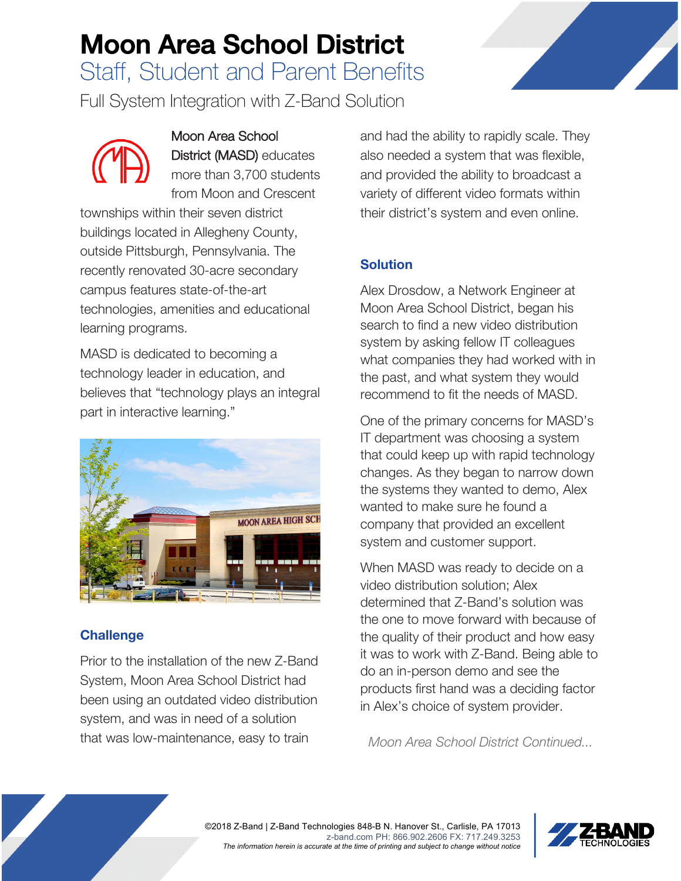# Moon Area School District

Staff, Student and Parent Benefits

Full System Integration with Z-Band Solution



Moon Area School District (MASD) educates more than 3,700 students from Moon and Crescent

townships within their seven district buildings located in Allegheny County, outside Pittsburgh, Pennsylvania. The recently renovated 30-acre secondary campus features state-of-the-art technologies, amenities and educational learning programs.

MASD is dedicated to becoming a technology leader in education, and believes that "technology plays an integral part in interactive learning."



## **Challenge**

Prior to the installation of the new Z-Band System, Moon Area School District had been using an outdated video distribution system, and was in need of a solution that was low-maintenance, easy to train

and had the ability to rapidly scale. They also needed a system that was flexible, and provided the ability to broadcast a variety of different video formats within their district's system and even online.

## **Solution**

Alex Drosdow, a Network Engineer at Moon Area School District, began his search to find a new video distribution system by asking fellow IT colleagues what companies they had worked with in the past, and what system they would recommend to fit the needs of MASD.

One of the primary concerns for MASD's IT department was choosing a system that could keep up with rapid technology changes. As they began to narrow down the systems they wanted to demo, Alex wanted to make sure he found a company that provided an excellent system and customer support.

When MASD was ready to decide on a video distribution solution; Alex determined that Z-Band's solution was the one to move forward with because of the quality of their product and how easy it was to work with Z-Band. Being able to do an in-person demo and see the products first hand was a deciding factor in Alex's choice of system provider.

*Moon Area School District Continued...*